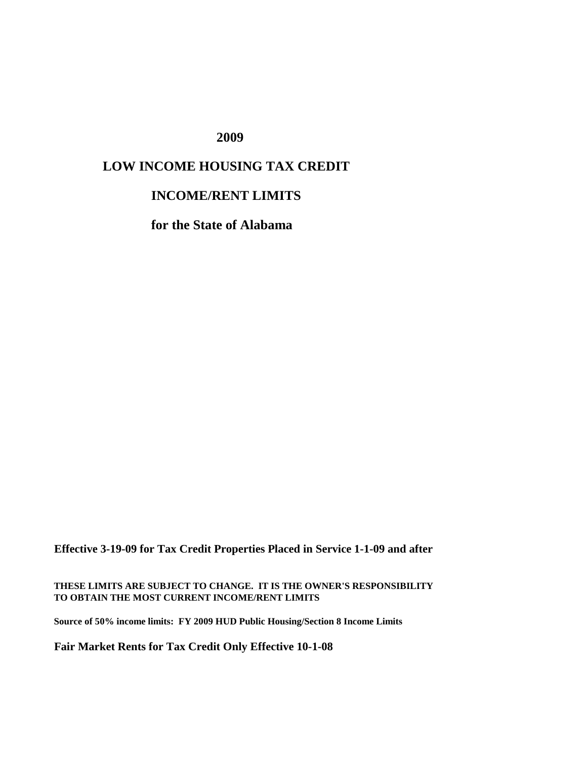## **2009**

## **LOW INCOME HOUSING TAX CREDIT**

## **INCOME/RENT LIMITS**

**for the State of Alabama**

**Effective 3-19-09 for Tax Credit Properties Placed in Service 1-1-09 and after**

**THESE LIMITS ARE SUBJECT TO CHANGE. IT IS THE OWNER'S RESPONSIBILITY TO OBTAIN THE MOST CURRENT INCOME/RENT LIMITS**

**Source of 50% income limits: FY 2009 HUD Public Housing/Section 8 Income Limits**

**Fair Market Rents for Tax Credit Only Effective 10-1-08**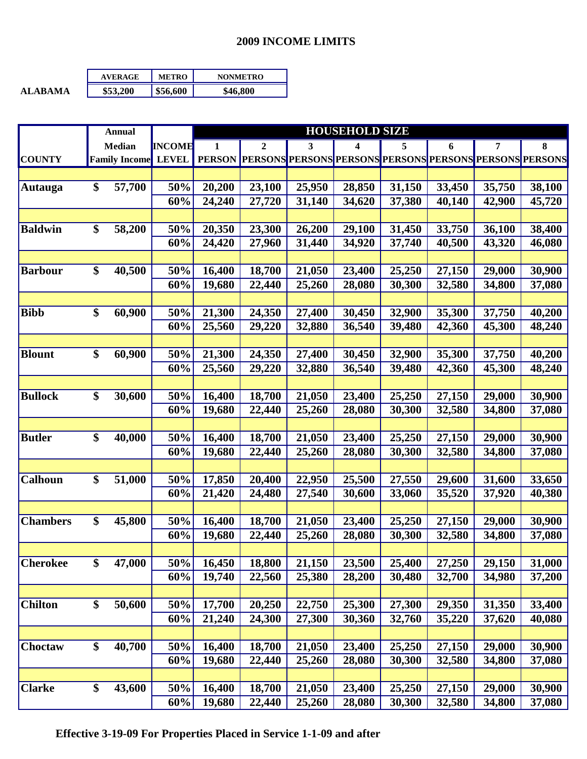## **2009 INCOME LIMITS**

|                | <b>AVERAGE</b> | <b>METRO</b> | <b>NONMETRO</b> |
|----------------|----------------|--------------|-----------------|
| <b>ALARAMA</b> | \$53,200       | \$56,600     | \$46.800        |

|                 |                 | <b>Annual</b>        |               | <b>HOUSEHOLD SIZE</b> |                  |        |                                                 |        |        |        |        |
|-----------------|-----------------|----------------------|---------------|-----------------------|------------------|--------|-------------------------------------------------|--------|--------|--------|--------|
|                 | Median          |                      | <b>INCOME</b> | 1                     | $\boldsymbol{2}$ | 3      | 4                                               | 5      | 6      | 7      | 8      |
| <b>COUNTY</b>   |                 | <b>Family Income</b> | <b>LEVEL</b>  | <b>PERSON</b>         | <b>PERSONS</b>   |        | PERSONS PERSONS PERSONS PERSONS PERSONS PERSONS |        |        |        |        |
|                 |                 |                      |               |                       |                  |        |                                                 |        |        |        |        |
| <b>Autauga</b>  | \$              | 57,700               | 50%           | 20,200                | 23,100           | 25,950 | 28,850                                          | 31,150 | 33,450 | 35,750 | 38,100 |
|                 |                 |                      | 60%           | 24,240                | 27,720           | 31,140 | 34,620                                          | 37,380 | 40,140 | 42,900 | 45,720 |
|                 |                 |                      |               |                       |                  |        |                                                 |        |        |        |        |
| <b>Baldwin</b>  | \$              | 58,200               | 50%           | 20,350                | 23,300           | 26,200 | 29,100                                          | 31,450 | 33,750 | 36,100 | 38,400 |
|                 |                 |                      | 60%           | 24,420                | 27,960           | 31,440 | 34,920                                          | 37,740 | 40,500 | 43,320 | 46,080 |
|                 |                 |                      |               |                       |                  |        |                                                 |        |        |        |        |
| <b>Barbour</b>  | \$              | 40,500               | 50%           | 16,400                | 18,700           | 21,050 | 23,400                                          | 25,250 | 27,150 | 29,000 | 30,900 |
|                 |                 |                      | 60%           | 19,680                | 22,440           | 25,260 | 28,080                                          | 30,300 | 32,580 | 34,800 | 37,080 |
|                 |                 |                      |               |                       |                  |        |                                                 |        |        |        |        |
| <b>Bibb</b>     | \$              | 60,900               | 50%           | 21,300                | 24,350           | 27,400 | 30,450                                          | 32,900 | 35,300 | 37,750 | 40,200 |
|                 |                 |                      | 60%           | 25,560                | 29,220           | 32,880 | 36,540                                          | 39,480 | 42,360 | 45,300 | 48,240 |
|                 |                 |                      |               |                       |                  |        |                                                 |        |        |        |        |
| <b>Blount</b>   | \$              | 60,900               | 50%           | 21,300                | 24,350           | 27,400 | 30,450                                          | 32,900 | 35,300 | 37,750 | 40,200 |
|                 |                 |                      | 60%           | 25,560                | 29,220           | 32,880 | 36,540                                          | 39,480 | 42,360 | 45,300 | 48,240 |
|                 |                 |                      |               |                       |                  |        |                                                 |        |        |        |        |
| <b>Bullock</b>  | \$              | 30,600               | 50%           | 16,400                | 18,700           | 21,050 | 23,400                                          | 25,250 | 27,150 | 29,000 | 30,900 |
|                 |                 |                      | 60%           | 19,680                | 22,440           | 25,260 | 28,080                                          | 30,300 | 32,580 | 34,800 | 37,080 |
|                 |                 |                      |               |                       |                  |        |                                                 |        |        |        |        |
| <b>Butler</b>   | \$              | 40,000               | 50%           | 16,400                | 18,700           | 21,050 | 23,400                                          | 25,250 | 27,150 | 29,000 | 30,900 |
|                 |                 |                      | 60%           | 19,680                | 22,440           | 25,260 | 28,080                                          | 30,300 | 32,580 | 34,800 | 37,080 |
|                 |                 |                      |               |                       |                  |        |                                                 |        |        |        |        |
| <b>Calhoun</b>  | \$              | 51,000               | 50%           | 17,850                | 20,400           | 22,950 | 25,500                                          | 27,550 | 29,600 | 31,600 | 33,650 |
|                 |                 |                      | 60%           | 21,420                | 24,480           | 27,540 | 30,600                                          | 33,060 | 35,520 | 37,920 | 40,380 |
|                 | \$              |                      |               |                       |                  | 21,050 |                                                 |        | 27,150 |        |        |
| <b>Chambers</b> |                 | 45,800               | 50%           | 16,400                | 18,700           |        | 23,400                                          | 25,250 |        | 29,000 | 30,900 |
|                 |                 |                      | 60%           | 19,680                | 22,440           | 25,260 | 28,080                                          | 30,300 | 32,580 | 34,800 | 37,080 |
| <b>Cherokee</b> | $\overline{\$}$ | 47,000               | 50%           | 16,450                | 18,800           | 21,150 | 23,500                                          | 25,400 | 27,250 | 29,150 | 31,000 |
|                 |                 |                      | 60%           | 19,740                | 22,560           | 25,380 | 28,200                                          | 30,480 | 32,700 | 34,980 | 37,200 |
|                 |                 |                      |               |                       |                  |        |                                                 |        |        |        |        |
| <b>Chilton</b>  | \$              | 50,600               | 50%           | 17,700                | 20,250           | 22,750 | 25,300                                          | 27,300 | 29,350 | 31,350 | 33,400 |
|                 |                 |                      | 60%           | 21,240                | 24,300           | 27,300 | 30,360                                          | 32,760 | 35,220 | 37,620 | 40,080 |
|                 |                 |                      |               |                       |                  |        |                                                 |        |        |        |        |
| <b>Choctaw</b>  | \$              | 40,700               | 50%           | 16,400                | 18,700           | 21,050 | 23,400                                          | 25,250 | 27,150 | 29,000 | 30,900 |
|                 |                 |                      | 60%           | 19,680                | 22,440           | 25,260 | 28,080                                          | 30,300 | 32,580 | 34,800 | 37,080 |
|                 |                 |                      |               |                       |                  |        |                                                 |        |        |        |        |
| <b>Clarke</b>   | \$              | 43,600               | 50%           | 16,400                | 18,700           | 21,050 | 23,400                                          | 25,250 | 27,150 | 29,000 | 30,900 |
|                 |                 |                      | 60%           | 19,680                | 22,440           | 25,260 | 28,080                                          | 30,300 | 32,580 | 34,800 | 37,080 |
|                 |                 |                      |               |                       |                  |        |                                                 |        |        |        |        |

 **Effective 3-19-09 For Properties Placed in Service 1-1-09 and after**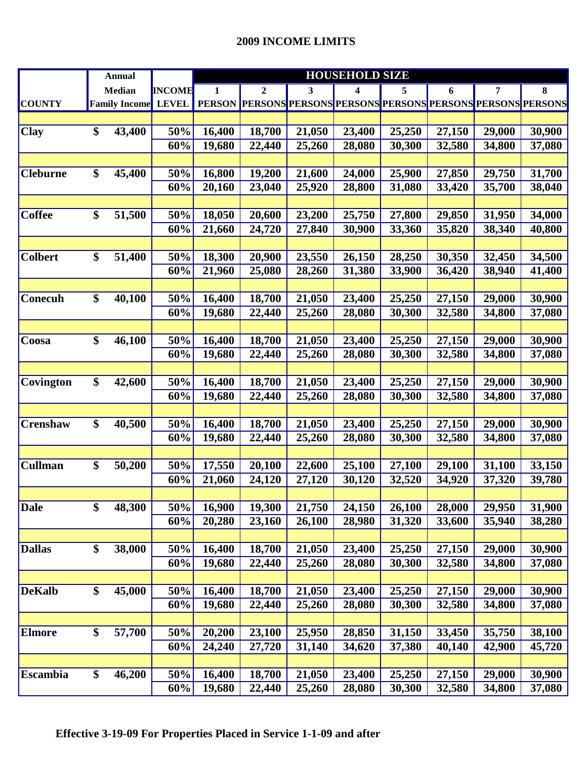|                 | <b>Annual</b>        |               | <b>HOUSEHOLD SIZE</b> |                                                                |        |        |        |        |        |        |  |
|-----------------|----------------------|---------------|-----------------------|----------------------------------------------------------------|--------|--------|--------|--------|--------|--------|--|
|                 | Median               | <b>INCOME</b> | 1                     | $\boldsymbol{2}$                                               | 3      | 4      | 5      | 6      | 7      | 8      |  |
| <b>COUNTY</b>   | <b>Family Income</b> | <b>LEVEL</b>  |                       | PERSON PERSONS PERSONS PERSONS PERSONS PERSONS PERSONS PERSONS |        |        |        |        |        |        |  |
|                 |                      |               |                       |                                                                |        |        |        |        |        |        |  |
| <b>Clay</b>     | \$<br>43,400         | 50%           | 16,400                | 18,700                                                         | 21,050 | 23,400 | 25,250 | 27,150 | 29,000 | 30,900 |  |
|                 |                      | 60%           | 19,680                | 22,440                                                         | 25,260 | 28,080 | 30,300 | 32,580 | 34,800 | 37,080 |  |
|                 |                      |               |                       |                                                                |        |        |        |        |        |        |  |
| <b>Cleburne</b> | \$<br>45,400         | 50%           | 16,800                | 19,200                                                         | 21,600 | 24,000 | 25,900 | 27,850 | 29,750 | 31,700 |  |
|                 |                      | 60%           | 20,160                | 23,040                                                         | 25,920 | 28,800 | 31,080 | 33,420 | 35,700 | 38,040 |  |
|                 |                      |               |                       |                                                                |        |        |        |        |        |        |  |
| <b>Coffee</b>   | \$<br>51,500         | 50%           | 18,050                | 20,600                                                         | 23,200 | 25,750 | 27,800 | 29,850 | 31,950 | 34,000 |  |
|                 |                      | 60%           | 21,660                | 24,720                                                         | 27,840 | 30,900 | 33,360 | 35,820 | 38,340 | 40,800 |  |
|                 |                      |               |                       |                                                                |        |        |        |        |        |        |  |
| <b>Colbert</b>  | \$<br>51,400         | 50%           | 18,300                | 20,900                                                         | 23,550 | 26,150 | 28,250 | 30,350 | 32,450 | 34,500 |  |
|                 |                      | 60%           | 21,960                | 25,080                                                         | 28,260 | 31,380 | 33,900 | 36,420 | 38,940 | 41,400 |  |
|                 |                      |               |                       |                                                                |        |        |        |        |        |        |  |
| Conecuh         | \$<br>40,100         | 50%           | 16,400                | 18,700                                                         | 21,050 | 23,400 | 25,250 | 27,150 | 29,000 | 30,900 |  |
|                 |                      | 60%           | 19,680                | 22,440                                                         | 25,260 | 28,080 | 30,300 | 32,580 | 34,800 | 37,080 |  |
|                 |                      |               |                       |                                                                |        |        |        |        |        |        |  |
| Coosa           | \$<br>46,100         | 50%           | 16,400                | 18,700                                                         | 21,050 | 23,400 | 25,250 | 27,150 | 29,000 | 30,900 |  |
|                 |                      | 60%           | 19,680                | 22,440                                                         | 25,260 | 28,080 | 30,300 | 32,580 | 34,800 | 37,080 |  |
|                 |                      |               |                       |                                                                |        |        |        |        |        |        |  |
| Covington       | \$<br>42,600         | 50%           | 16,400                | 18,700                                                         | 21,050 | 23,400 | 25,250 | 27,150 | 29,000 | 30,900 |  |
|                 |                      | 60%           | 19,680                | 22,440                                                         | 25,260 | 28,080 | 30,300 | 32,580 | 34,800 | 37,080 |  |
|                 |                      |               |                       |                                                                |        |        |        |        |        |        |  |
| Crenshaw        | \$<br>40,500         | 50%           | 16,400                | 18,700                                                         | 21,050 | 23,400 | 25,250 | 27,150 | 29,000 | 30,900 |  |
|                 |                      | 60%           | 19,680                | 22,440                                                         | 25,260 | 28,080 | 30,300 | 32,580 | 34,800 | 37,080 |  |
|                 |                      |               |                       |                                                                |        |        |        |        |        |        |  |
| <b>Cullman</b>  | \$<br>50,200         | 50%           | 17,550                | 20,100                                                         | 22,600 | 25,100 | 27,100 | 29,100 | 31,100 | 33,150 |  |
|                 |                      | 60%           | 21,060                | 24,120                                                         | 27,120 | 30,120 | 32,520 | 34,920 | 37,320 | 39,780 |  |
|                 |                      |               |                       |                                                                |        |        |        |        |        |        |  |
| <b>Dale</b>     | \$<br>48,300         | 50%           | 16,900                | 19,300                                                         | 21,750 | 24,150 | 26,100 | 28,000 | 29,950 | 31,900 |  |
|                 |                      | 60%           | 20,280                | 23,160                                                         | 26,100 | 28,980 | 31,320 | 33,600 | 35,940 | 38,280 |  |
|                 |                      |               |                       |                                                                |        |        |        |        |        |        |  |
| <b>Dallas</b>   | \$<br>38,000         | 50%           | 16,400                | 18,700                                                         | 21,050 | 23,400 | 25,250 | 27,150 | 29,000 | 30,900 |  |
|                 |                      | 60%           | 19,680                | 22,440                                                         | 25,260 | 28,080 | 30,300 | 32,580 | 34,800 | 37,080 |  |
|                 |                      |               |                       |                                                                |        |        |        |        |        |        |  |
| <b>DeKalb</b>   | \$<br>45,000         | 50%           | 16,400                | 18,700                                                         | 21,050 | 23,400 | 25,250 | 27,150 | 29,000 | 30,900 |  |
|                 |                      | 60%           | 19,680                | 22,440                                                         | 25,260 | 28,080 | 30,300 | 32,580 | 34,800 | 37,080 |  |
|                 |                      |               |                       |                                                                |        |        |        |        |        |        |  |
| <b>Elmore</b>   | \$<br>57,700         | 50%           | 20,200                | 23,100                                                         | 25,950 | 28,850 | 31,150 | 33,450 | 35,750 | 38,100 |  |
|                 |                      | 60%           | 24,240                | 27,720                                                         | 31,140 | 34,620 | 37,380 | 40,140 | 42,900 | 45,720 |  |
|                 |                      |               |                       |                                                                |        |        |        |        |        |        |  |
| <b>Escambia</b> | \$<br>46,200         | 50%           | 16,400                | 18,700                                                         | 21,050 | 23,400 | 25,250 | 27,150 | 29,000 | 30,900 |  |
|                 |                      | 60%           | 19,680                | 22,440                                                         | 25,260 | 28,080 | 30,300 | 32,580 | 34,800 | 37,080 |  |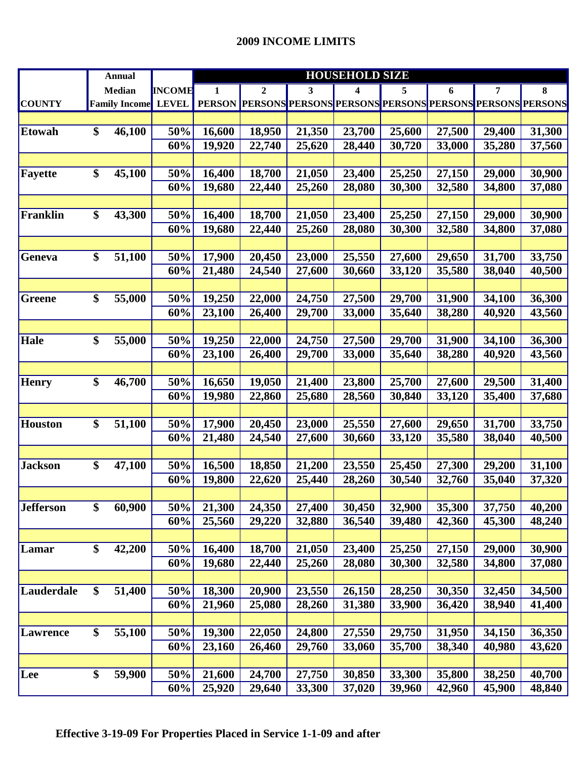|                  | <b>Annual</b>        |               | <b>HOUSEHOLD SIZE</b> |        |        |                                                         |        |        |        |        |  |
|------------------|----------------------|---------------|-----------------------|--------|--------|---------------------------------------------------------|--------|--------|--------|--------|--|
|                  | Median               | <b>INCOME</b> | 1                     | 2      | 3      | 4                                                       | 5      | 6      | 7      | 8      |  |
| <b>COUNTY</b>    | <b>Family Income</b> | <b>LEVEL</b>  | <b>PERSON</b>         |        |        | PERSONS PERSONS PERSONS PERSONS PERSONS PERSONS PERSONS |        |        |        |        |  |
|                  |                      |               |                       |        |        |                                                         |        |        |        |        |  |
| <b>Etowah</b>    | \$<br>46,100         | 50%           | 16,600                | 18,950 | 21,350 | 23,700                                                  | 25,600 | 27,500 | 29,400 | 31,300 |  |
|                  |                      | 60%           | 19,920                | 22,740 | 25,620 | 28,440                                                  | 30,720 | 33,000 | 35,280 | 37,560 |  |
|                  |                      |               |                       |        |        |                                                         |        |        |        |        |  |
| Fayette          | \$<br>45,100         | 50%           | 16,400                | 18,700 | 21,050 | 23,400                                                  | 25,250 | 27,150 | 29,000 | 30,900 |  |
|                  |                      | 60%           | 19,680                | 22,440 | 25,260 | 28,080                                                  | 30,300 | 32,580 | 34,800 | 37,080 |  |
|                  |                      |               |                       |        |        |                                                         |        |        |        |        |  |
| Franklin         | \$<br>43,300         | 50%           | 16,400                | 18,700 | 21,050 | 23,400                                                  | 25,250 | 27,150 | 29,000 | 30,900 |  |
|                  |                      | 60%           | 19,680                | 22,440 | 25,260 | 28,080                                                  | 30,300 | 32,580 | 34,800 | 37,080 |  |
|                  |                      |               |                       |        |        |                                                         |        |        |        |        |  |
| Geneva           | \$<br>51,100         | 50%           | 17,900                | 20,450 | 23,000 | 25,550                                                  | 27,600 | 29,650 | 31,700 | 33,750 |  |
|                  |                      | 60%           | 21,480                | 24,540 | 27,600 | 30,660                                                  | 33,120 | 35,580 | 38,040 | 40,500 |  |
|                  |                      |               |                       |        |        |                                                         |        |        |        |        |  |
| Greene           | \$<br>55,000         | 50%           | 19,250                | 22,000 | 24,750 | 27,500                                                  | 29,700 | 31,900 | 34,100 | 36,300 |  |
|                  |                      | 60%           | 23,100                | 26,400 | 29,700 | 33,000                                                  | 35,640 | 38,280 | 40,920 | 43,560 |  |
|                  |                      |               |                       |        |        |                                                         |        |        |        |        |  |
| Hale             | \$<br>55,000         | 50%           | 19,250                | 22,000 | 24,750 | 27,500                                                  | 29,700 | 31,900 | 34,100 | 36,300 |  |
|                  |                      | 60%           | 23,100                | 26,400 | 29,700 | 33,000                                                  | 35,640 | 38,280 | 40,920 | 43,560 |  |
|                  |                      |               |                       |        |        |                                                         |        |        |        |        |  |
| <b>Henry</b>     | \$<br>46,700         | 50%           | 16,650                | 19,050 | 21,400 | 23,800                                                  | 25,700 | 27,600 | 29,500 | 31,400 |  |
|                  |                      | 60%           | 19,980                | 22,860 | 25,680 | 28,560                                                  | 30,840 | 33,120 | 35,400 | 37,680 |  |
|                  |                      |               |                       |        |        |                                                         |        |        |        |        |  |
| <b>Houston</b>   | \$<br>51,100         | 50%           | 17,900                | 20,450 | 23,000 | 25,550                                                  | 27,600 | 29,650 | 31,700 | 33,750 |  |
|                  |                      | 60%           | 21,480                | 24,540 | 27,600 | 30,660                                                  | 33,120 | 35,580 | 38,040 | 40,500 |  |
|                  |                      |               |                       |        |        |                                                         |        |        |        |        |  |
| <b>Jackson</b>   | \$<br>47,100         | 50%           | 16,500                | 18,850 | 21,200 | 23,550                                                  | 25,450 | 27,300 | 29,200 | 31,100 |  |
|                  |                      | 60%           | 19,800                | 22,620 | 25,440 | 28,260                                                  | 30,540 | 32,760 | 35,040 | 37,320 |  |
|                  |                      |               |                       |        |        |                                                         |        |        |        |        |  |
| <b>Jefferson</b> | \$<br>60,900         | 50%           | 21,300                | 24,350 | 27,400 | 30,450                                                  | 32,900 | 35,300 | 37,750 | 40,200 |  |
|                  |                      | 60%           | 25,560                | 29,220 | 32,880 | 36,540                                                  | 39,480 | 42,360 | 45,300 | 48,240 |  |
|                  |                      |               |                       |        |        |                                                         |        |        |        |        |  |
| Lamar            | \$<br>42,200         | 50%           | 16,400                | 18,700 | 21,050 | 23,400                                                  | 25,250 | 27,150 | 29,000 | 30,900 |  |
|                  |                      | 60%           | 19,680                | 22,440 | 25,260 | 28,080                                                  | 30,300 | 32,580 | 34,800 | 37,080 |  |
|                  |                      |               |                       |        |        |                                                         |        |        |        |        |  |
| Lauderdale       | \$<br>51,400         | 50%           | 18,300                | 20,900 | 23,550 | 26,150                                                  | 28,250 | 30,350 | 32,450 | 34,500 |  |
|                  |                      | 60%           | 21,960                | 25,080 | 28,260 | 31,380                                                  | 33,900 | 36,420 | 38,940 | 41,400 |  |
|                  |                      |               |                       |        |        |                                                         |        |        |        |        |  |
| <b>Lawrence</b>  | \$<br>55,100         | 50%           | 19,300                | 22,050 | 24,800 | 27,550                                                  | 29,750 | 31,950 | 34,150 | 36,350 |  |
|                  |                      | 60%           | 23,160                | 26,460 | 29,760 | 33,060                                                  | 35,700 | 38,340 | 40,980 | 43,620 |  |
|                  |                      |               |                       |        |        |                                                         |        |        |        |        |  |
| Lee              | \$<br>59,900         | 50%           | 21,600                | 24,700 | 27,750 | 30,850                                                  | 33,300 | 35,800 | 38,250 | 40,700 |  |
|                  |                      | 60%           | 25,920                | 29,640 | 33,300 | 37,020                                                  | 39,960 | 42,960 | 45,900 | 48,840 |  |
|                  |                      |               |                       |        |        |                                                         |        |        |        |        |  |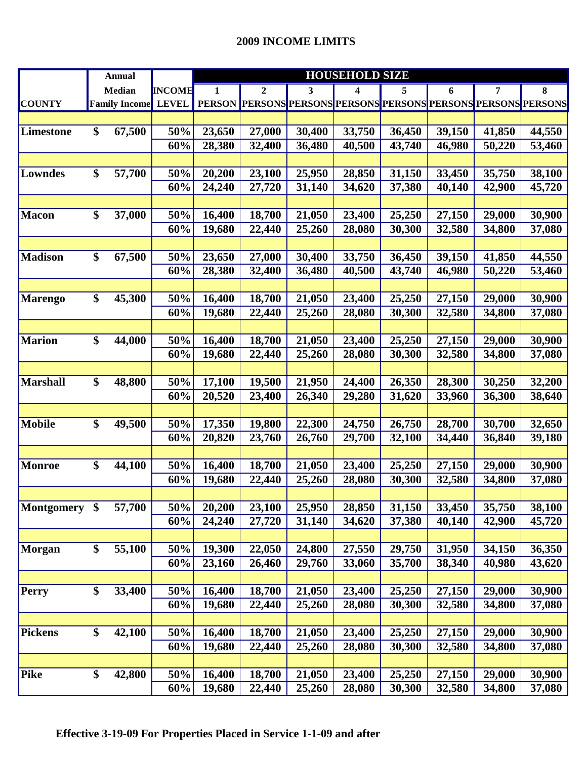|                  |                   | <b>Annual</b>        |               | <b>HOUSEHOLD SIZE</b> |                                                                |        |        |        |        |        |        |
|------------------|-------------------|----------------------|---------------|-----------------------|----------------------------------------------------------------|--------|--------|--------|--------|--------|--------|
|                  |                   | Median               | <b>INCOME</b> | 1                     | 2                                                              | 3      | 4      | 5      | 6      | 7      | 8      |
| <b>COUNTY</b>    |                   | <b>Family Income</b> | <b>LEVEL</b>  |                       | PERSON PERSONS PERSONS PERSONS PERSONS PERSONS PERSONS PERSONS |        |        |        |        |        |        |
|                  |                   |                      |               |                       |                                                                |        |        |        |        |        |        |
| <b>Limestone</b> | \$                | 67,500               | 50%           | 23,650                | 27,000                                                         | 30,400 | 33,750 | 36,450 | 39,150 | 41,850 | 44,550 |
|                  |                   |                      | 60%           | 28,380                | 32,400                                                         | 36,480 | 40,500 | 43,740 | 46,980 | 50,220 | 53,460 |
|                  |                   |                      |               |                       |                                                                |        |        |        |        |        |        |
| <b>Lowndes</b>   | \$                | 57,700               | 50%           | 20,200                | 23,100                                                         | 25,950 | 28,850 | 31,150 | 33,450 | 35,750 | 38,100 |
|                  |                   |                      | 60%           | 24,240                | 27,720                                                         | 31,140 | 34,620 | 37,380 | 40,140 | 42,900 | 45,720 |
|                  |                   |                      |               |                       |                                                                |        |        |        |        |        |        |
| Macon            | \$                | 37,000               | 50%           | 16,400                | 18,700                                                         | 21,050 | 23,400 | 25,250 | 27,150 | 29,000 | 30,900 |
|                  |                   |                      | 60%           | 19,680                | 22,440                                                         | 25,260 | 28,080 | 30,300 | 32,580 | 34,800 | 37,080 |
|                  |                   |                      |               |                       |                                                                |        |        |        |        |        |        |
| <b>Madison</b>   | \$                | 67,500               | 50%           | 23,650                | 27,000                                                         | 30,400 | 33,750 | 36,450 | 39,150 | 41,850 | 44,550 |
|                  |                   |                      | 60%           | 28,380                | 32,400                                                         | 36,480 | 40,500 | 43,740 | 46,980 | 50,220 | 53,460 |
|                  |                   |                      |               |                       |                                                                |        |        |        |        |        |        |
| <b>Marengo</b>   | \$                | 45,300               | 50%           | 16,400                | 18,700                                                         | 21,050 | 23,400 | 25,250 | 27,150 | 29,000 | 30,900 |
|                  |                   |                      | 60%           | 19,680                | 22,440                                                         | 25,260 | 28,080 | 30,300 | 32,580 | 34,800 | 37,080 |
|                  |                   |                      |               |                       |                                                                |        |        |        |        |        |        |
| <b>Marion</b>    | \$                | 44,000               | 50%           | 16,400                | 18,700                                                         | 21,050 | 23,400 | 25,250 | 27,150 | 29,000 | 30,900 |
|                  |                   |                      | 60%           | 19,680                | 22,440                                                         | 25,260 | 28,080 | 30,300 | 32,580 | 34,800 | 37,080 |
|                  |                   |                      |               |                       |                                                                |        |        |        |        |        |        |
| <b>Marshall</b>  | \$                | 48,800               | 50%           | 17,100                | 19,500                                                         | 21,950 | 24,400 | 26,350 | 28,300 | 30,250 | 32,200 |
|                  |                   |                      | 60%           | 20,520                | 23,400                                                         | 26,340 | 29,280 | 31,620 | 33,960 | 36,300 | 38,640 |
|                  |                   |                      |               |                       |                                                                |        |        |        |        |        |        |
| <b>Mobile</b>    | \$                | 49,500               | 50%           | 17,350                | 19,800                                                         | 22,300 | 24,750 | 26,750 | 28,700 | 30,700 | 32,650 |
|                  |                   |                      | 60%           | 20,820                | 23,760                                                         | 26,760 | 29,700 | 32,100 | 34,440 | 36,840 | 39,180 |
|                  |                   |                      |               |                       |                                                                |        |        |        |        |        |        |
| <b>Monroe</b>    | \$                | 44,100               | 50%           | 16,400                | 18,700                                                         | 21,050 | 23,400 | 25,250 | 27,150 | 29,000 | 30,900 |
|                  |                   |                      | 60%           | 19,680                | 22,440                                                         | 25,260 | 28,080 | 30,300 | 32,580 | 34,800 | 37,080 |
|                  |                   |                      |               |                       |                                                                |        |        |        |        |        |        |
| Montgomery       | $\boldsymbol{\$}$ | 57,700               | 50%           | 20,200                | 23,100                                                         | 25,950 | 28,850 | 31,150 | 33,450 | 35,750 | 38,100 |
|                  |                   |                      | 60%           | 24,240                | 27,720                                                         | 31,140 | 34,620 | 37,380 | 40,140 | 42,900 | 45,720 |
|                  |                   |                      |               |                       |                                                                |        |        |        |        |        |        |
| Morgan           | \$                | 55,100               | 50%           | 19,300                | 22,050                                                         | 24,800 | 27,550 | 29,750 | 31,950 | 34,150 | 36,350 |
|                  |                   |                      | 60%           | 23,160                | 26,460                                                         | 29,760 | 33,060 | 35,700 | 38,340 | 40,980 | 43,620 |
|                  |                   |                      |               |                       |                                                                |        |        |        |        |        |        |
| <b>Perry</b>     | \$                | 33,400               | 50%           | 16,400                | 18,700                                                         | 21,050 | 23,400 | 25,250 | 27,150 | 29,000 | 30,900 |
|                  |                   |                      | 60%           | 19,680                | 22,440                                                         | 25,260 | 28,080 | 30,300 | 32,580 | 34,800 | 37,080 |
|                  |                   |                      |               |                       |                                                                |        |        |        |        |        |        |
| Pickens          | \$                | 42,100               | 50%           | 16,400                | 18,700                                                         | 21,050 | 23,400 | 25,250 | 27,150 | 29,000 | 30,900 |
|                  |                   |                      | 60%           | 19,680                | 22,440                                                         | 25,260 | 28,080 | 30,300 | 32,580 | 34,800 | 37,080 |
|                  |                   |                      |               |                       |                                                                |        |        |        |        |        |        |
| Pike             | \$                | 42,800               | 50%           | 16,400                | 18,700                                                         | 21,050 | 23,400 | 25,250 | 27,150 | 29,000 | 30,900 |
|                  |                   |                      | 60%           | 19,680                | 22,440                                                         | 25,260 | 28,080 | 30,300 | 32,580 | 34,800 | 37,080 |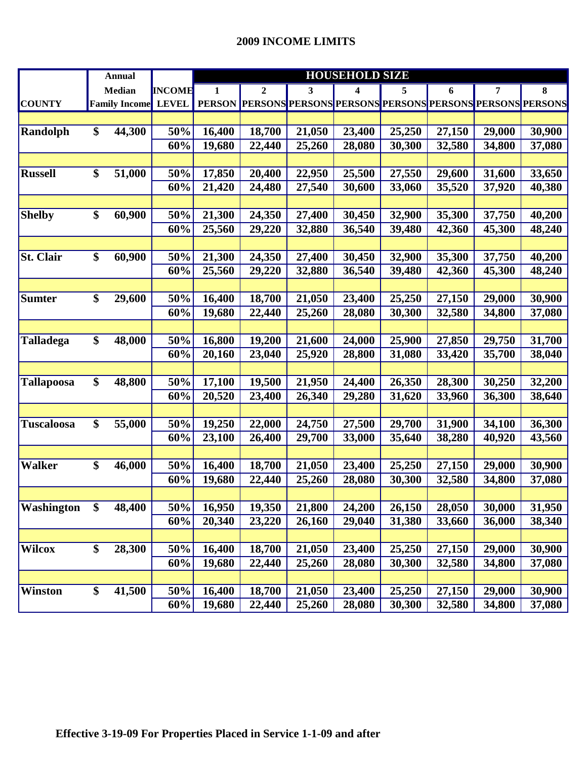|                   | <b>Annual</b>        |               | <b>HOUSEHOLD SIZE</b> |                                                                |        |        |        |        |        |        |  |  |
|-------------------|----------------------|---------------|-----------------------|----------------------------------------------------------------|--------|--------|--------|--------|--------|--------|--|--|
|                   | <b>Median</b>        | <b>INCOME</b> | 1                     | $\mathbf{2}$                                                   | 3      | 4      | 5      | 6      | 7      | 8      |  |  |
| <b>COUNTY</b>     | <b>Family Income</b> | <b>LEVEL</b>  | <b>PERSON</b>         | <b>PERSONS PERSONS PERSONS PERSONS PERSONS PERSONS PERSONS</b> |        |        |        |        |        |        |  |  |
|                   |                      |               |                       |                                                                |        |        |        |        |        |        |  |  |
| <b>Randolph</b>   | \$<br>44,300         | 50%           | 16,400                | 18,700                                                         | 21,050 | 23,400 | 25,250 | 27,150 | 29,000 | 30,900 |  |  |
|                   |                      | 60%           | 19,680                | 22,440                                                         | 25,260 | 28,080 | 30,300 | 32,580 | 34,800 | 37,080 |  |  |
|                   |                      |               |                       |                                                                |        |        |        |        |        |        |  |  |
| <b>Russell</b>    | \$<br>51,000         | 50%           | 17,850                | 20,400                                                         | 22,950 | 25,500 | 27,550 | 29,600 | 31,600 | 33,650 |  |  |
|                   |                      | 60%           | 21,420                | 24,480                                                         | 27,540 | 30,600 | 33,060 | 35,520 | 37,920 | 40,380 |  |  |
|                   |                      |               |                       |                                                                |        |        |        |        |        |        |  |  |
| <b>Shelby</b>     | \$<br>60,900         | 50%           | 21,300                | 24,350                                                         | 27,400 | 30,450 | 32,900 | 35,300 | 37,750 | 40,200 |  |  |
|                   |                      | 60%           | 25,560                | 29,220                                                         | 32,880 | 36,540 | 39,480 | 42,360 | 45,300 | 48,240 |  |  |
|                   |                      |               |                       |                                                                |        |        |        |        |        |        |  |  |
| <b>St. Clair</b>  | \$<br>60,900         | 50%           | 21,300                | 24,350                                                         | 27,400 | 30,450 | 32,900 | 35,300 | 37,750 | 40,200 |  |  |
|                   |                      | 60%           | 25,560                | 29,220                                                         | 32,880 | 36,540 | 39,480 | 42,360 | 45,300 | 48,240 |  |  |
|                   |                      |               |                       |                                                                |        |        |        |        |        |        |  |  |
| <b>Sumter</b>     | \$<br>29,600         | 50%           | 16,400                | 18,700                                                         | 21,050 | 23,400 | 25,250 | 27,150 | 29,000 | 30,900 |  |  |
|                   |                      | 60%           | 19,680                | 22,440                                                         | 25,260 | 28,080 | 30,300 | 32,580 | 34,800 | 37,080 |  |  |
|                   |                      |               |                       |                                                                |        |        |        |        |        |        |  |  |
| <b>Talladega</b>  | \$<br>48,000         | 50%           | 16,800                | 19,200                                                         | 21,600 | 24,000 | 25,900 | 27,850 | 29,750 | 31,700 |  |  |
|                   |                      | 60%           | 20,160                | 23,040                                                         | 25,920 | 28,800 | 31,080 | 33,420 | 35,700 | 38,040 |  |  |
|                   |                      |               |                       |                                                                |        |        |        |        |        |        |  |  |
| <b>Tallapoosa</b> | \$<br>48,800         | 50%           | 17,100                | 19,500                                                         | 21,950 | 24,400 | 26,350 | 28,300 | 30,250 | 32,200 |  |  |
|                   |                      | 60%           | 20,520                | 23,400                                                         | 26,340 | 29,280 | 31,620 | 33,960 | 36,300 | 38,640 |  |  |
|                   |                      |               |                       |                                                                |        |        |        |        |        |        |  |  |
| <b>Tuscaloosa</b> | \$<br>55,000         | 50%           | 19,250                | 22,000                                                         | 24,750 | 27,500 | 29,700 | 31,900 | 34,100 | 36,300 |  |  |
|                   |                      | 60%           | 23,100                | 26,400                                                         | 29,700 | 33,000 | 35,640 | 38,280 | 40,920 | 43,560 |  |  |
|                   |                      |               |                       |                                                                |        |        |        |        |        |        |  |  |
| <b>Walker</b>     | \$<br>46,000         | 50%           | 16,400                | 18,700                                                         | 21,050 | 23,400 | 25,250 | 27,150 | 29,000 | 30,900 |  |  |
|                   |                      | 60%           | 19,680                | 22,440                                                         | 25,260 | 28,080 | 30,300 | 32,580 | 34,800 | 37,080 |  |  |
|                   |                      |               |                       |                                                                |        |        |        |        |        |        |  |  |
| <b>Washington</b> | \$<br>48,400         | 50%           | 16,950                | 19,350                                                         | 21,800 | 24,200 | 26,150 | 28,050 | 30,000 | 31,950 |  |  |
|                   |                      | 60%           | 20,340                | 23,220                                                         | 26,160 | 29,040 | 31,380 | 33,660 | 36,000 | 38,340 |  |  |
|                   |                      |               |                       |                                                                |        |        |        |        |        |        |  |  |
| <b>Wilcox</b>     | \$<br>28,300         | 50%           | 16,400                | 18,700                                                         | 21,050 | 23,400 | 25,250 | 27,150 | 29,000 | 30,900 |  |  |
|                   |                      | 60%           | 19,680                | 22,440                                                         | 25,260 | 28,080 | 30,300 | 32,580 | 34,800 | 37,080 |  |  |
|                   |                      |               |                       |                                                                |        |        |        |        |        |        |  |  |
| <b>Winston</b>    | \$<br>41,500         | 50%           | 16,400                | 18,700                                                         | 21,050 | 23,400 | 25,250 | 27,150 | 29,000 | 30,900 |  |  |
|                   |                      | 60%           | 19,680                | 22,440                                                         | 25,260 | 28,080 | 30,300 | 32,580 | 34,800 | 37,080 |  |  |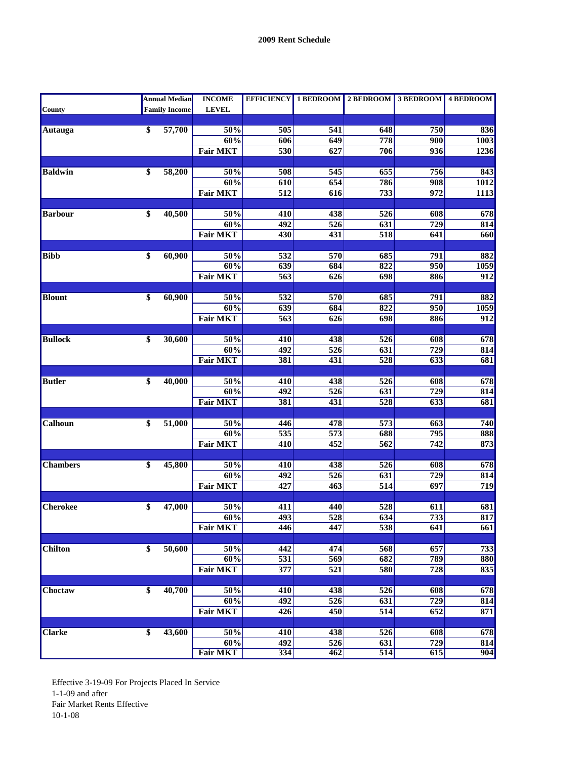|                 |                 | <b>Annual Median</b> | <b>INCOME</b>   |                  |                  | EFFICIENCY 1 BEDROOM 2 BEDROOM 3 BEDROOM 4 BEDROOM |                  |                   |
|-----------------|-----------------|----------------------|-----------------|------------------|------------------|----------------------------------------------------|------------------|-------------------|
| <b>County</b>   |                 | <b>Family Income</b> | <b>LEVEL</b>    |                  |                  |                                                    |                  |                   |
|                 |                 |                      |                 |                  |                  |                                                    |                  |                   |
| Autauga         | $\overline{\$}$ | 57,700               | 50%             | 505              | 541              | 648                                                | 750              | 836               |
|                 |                 |                      | 60%             | 606              | 649              | 778                                                | 900              | $\overline{1003}$ |
|                 |                 |                      | <b>Fair MKT</b> | 530              | 627              | 706                                                | 936              | 1236              |
| <b>Baldwin</b>  | \$              |                      | 50%             | 508              | 545              | 655                                                | 756              |                   |
|                 |                 | 58,200               | 60%             | 610              | 654              | 786                                                | 908              | 843<br>1012       |
|                 |                 |                      | <b>Fair MKT</b> | $\overline{512}$ | 616              | $\overline{733}$                                   | $\overline{972}$ | <b>1113</b>       |
|                 |                 |                      |                 |                  |                  |                                                    |                  |                   |
| <b>Barbour</b>  | \$              | 40,500               | 50%             | 410              | 438              | 526                                                | 608              | 678               |
|                 |                 |                      | 60%             | 492              | $\overline{526}$ | 631                                                | $\overline{729}$ | 814               |
|                 |                 |                      | <b>Fair MKT</b> | 430              | 431              | 518                                                | 641              | 660               |
|                 |                 |                      |                 |                  |                  |                                                    |                  |                   |
| <b>Bibb</b>     | \$              | 60,900               | 50%             | $\overline{532}$ | 570              | 685                                                | 791              | 882               |
|                 |                 |                      | 60%             | 639              | 684              | 822                                                | 950              | 1059              |
|                 |                 |                      | <b>Fair MKT</b> | $\overline{563}$ | 626              | 698                                                | 886              | $\overline{912}$  |
|                 |                 |                      |                 |                  |                  |                                                    |                  |                   |
| <b>Blount</b>   | \$              | 60,900               | 50%             | 532              | 570              | 685                                                | 791              | 882               |
|                 |                 |                      | 60%             | $\overline{639}$ | 684              | 822                                                | $\overline{950}$ | 1059              |
|                 |                 |                      | <b>Fair MKT</b> | 563              | 626              | 698                                                | 886              | 912               |
|                 |                 |                      |                 |                  |                  |                                                    |                  |                   |
| <b>Bullock</b>  | \$              | 30,600               | 50%             | 410              | 438              | 526                                                | 608              | 678               |
|                 |                 |                      | 60%             | 492              | 526              | 631                                                | 729              | 814               |
|                 |                 |                      | <b>Fair MKT</b> | 381              | 431              | 528                                                | $\overline{633}$ | 681               |
| <b>Butler</b>   | $\overline{\$}$ | 40,000               | 50%             | 410              | 438              | 526                                                | 608              | 678               |
|                 |                 |                      | 60%             | 492              | 526              | 631                                                | 729              | 814               |
|                 |                 |                      | <b>Fair MKT</b> | 381              | 431              | $\overline{528}$                                   | 633              | 681               |
|                 |                 |                      |                 |                  |                  |                                                    |                  |                   |
| Calhoun         | \$              | 51,000               | 50%             | 446              | 478              | $\overline{573}$                                   | 663              | 740               |
|                 |                 |                      | 60%             | 535              | 573              | 688                                                | 795              | 888               |
|                 |                 |                      | <b>Fair MKT</b> | 410              | 452              | $\overline{562}$                                   | 742              | 873               |
|                 |                 |                      |                 |                  |                  |                                                    |                  |                   |
| <b>Chambers</b> | $\overline{\$}$ | 45,800               | 50%             | 410              | 438              | 526                                                | 608              | 678               |
|                 |                 |                      | 60%             | 492              | 526              | 631                                                | $\overline{729}$ | 814               |
|                 |                 |                      | <b>Fair MKT</b> | 427              | 463              | $\overline{514}$                                   | 697              | 719               |
|                 |                 |                      |                 |                  |                  |                                                    |                  |                   |
| <b>Cherokee</b> | \$              | 47,000               | 50%             | 411              | 440              | 528                                                | 611              | 681               |
|                 |                 |                      | 60%             | 493              | 528              | 634                                                | 733              | 817               |
|                 |                 |                      | <b>Fair MKT</b> | 446              | 447              | 538                                                | 641              | 661               |
| <b>Chilton</b>  | \$              | 50,600               | 50%             | 442              | 474              | 568                                                | $\overline{657}$ | 733               |
|                 |                 |                      | 60%             | 531              | 569              | 682                                                | 789              | 880               |
|                 |                 |                      | <b>Fair MKT</b> | $\overline{377}$ | 521              | 580                                                | 728              | 835               |
|                 |                 |                      |                 |                  |                  |                                                    |                  |                   |
| Choctaw         | \$              | 40,700               | 50%             | 410              | 438              | $\overline{526}$                                   | 608              | 678               |
|                 |                 |                      | 60%             | 492              | $\overline{526}$ | 631                                                | $\overline{729}$ | 814               |
|                 |                 |                      | <b>Fair MKT</b> | 426              | 450              | 514                                                | 652              | 871               |
|                 |                 |                      |                 |                  |                  |                                                    |                  |                   |
| <b>Clarke</b>   | \$              | 43,600               | 50%             | 410              | 438              | 526                                                | 608              | 678               |
|                 |                 |                      | 60%             | 492              | 526              | 631                                                | $\overline{729}$ | 814               |
|                 |                 |                      | <b>Fair MKT</b> | 334              | 462              | 514                                                | 615              | 904               |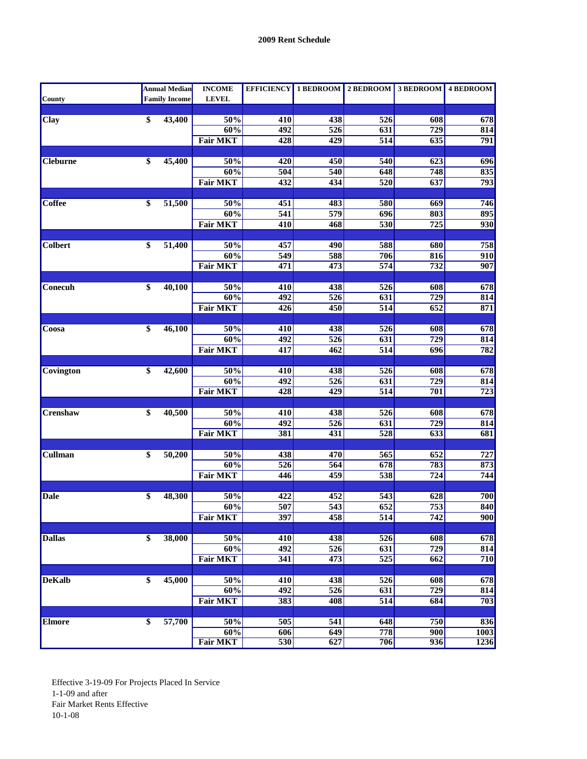|                 |                 | <b>Annual Median</b> | <b>INCOME</b>          |                  |                  | EFFICIENCY 1 BEDROOM 2 BEDROOM 3 BEDROOM 4 BEDROOM |                  |                  |
|-----------------|-----------------|----------------------|------------------------|------------------|------------------|----------------------------------------------------|------------------|------------------|
| County          |                 | <b>Family Income</b> | <b>LEVEL</b>           |                  |                  |                                                    |                  |                  |
|                 |                 |                      |                        |                  |                  |                                                    |                  |                  |
| <b>Clay</b>     | \$              | 43,400               | 50%                    | 410              | 438              | 526                                                | 608              | 678              |
|                 |                 |                      | 60%                    | 492              | 526              | 631                                                | 729              | 814              |
|                 |                 |                      | <b>Fair MKT</b>        | 428              | 429              | 514                                                | 635              | 791              |
| <b>Cleburne</b> | \$              | 45,400               | 50%                    | 420              | 450              | 540                                                | 623              | 696              |
|                 |                 |                      | 60%                    | 504              | 540              | 648                                                | 748              | 835              |
|                 |                 |                      | <b>Fair MKT</b>        | 432              | 434              | 520                                                | 637              | 793              |
|                 |                 |                      |                        |                  |                  |                                                    |                  |                  |
| <b>Coffee</b>   | \$              | 51,500               | 50%                    | 451              | 483              | 580                                                | 669              | 746              |
|                 |                 |                      | 60%                    | 541              | 579              | 696                                                | 803              | 895              |
|                 |                 |                      | <b>Fair MKT</b>        | 410              | 468              | 530                                                | 725              | 930              |
|                 |                 |                      |                        |                  |                  |                                                    |                  |                  |
| <b>Colbert</b>  | \$              | 51,400               | 50%                    | 457              | 490              | 588                                                | 680              | 758              |
|                 |                 |                      | 60%                    | 549              | 588              | 706                                                | 816              | 910              |
|                 |                 |                      | <b>Fair MKT</b>        | 471              | 473              | 574                                                | 732              | 907              |
|                 |                 |                      |                        |                  |                  |                                                    |                  |                  |
| Conecuh         | \$              | 40,100               | 50%                    | 410              | 438              | $\overline{526}$                                   | 608              | 678              |
|                 |                 |                      | 60%                    | 492              | 526              | 631                                                | 729<br>652       | 814              |
|                 |                 |                      | <b>Fair MKT</b>        | 426              | 450              | 514                                                |                  | 871              |
| Coosa           | $\overline{\$}$ | $\frac{46,100}{ }$   | 50%                    | 410              | 438              | 526                                                | 608              | 678              |
|                 |                 |                      | 60%                    | 492              | $\overline{526}$ | 631                                                | 729              | 814              |
|                 |                 |                      | <b>Fair MKT</b>        | $\overline{417}$ | 462              | $\overline{514}$                                   | 696              | 782              |
|                 |                 |                      |                        |                  |                  |                                                    |                  |                  |
| Covington       | \$              | 42,600               | 50%                    | 410              | 438              | 526                                                | 608              | 678              |
|                 |                 |                      | 60%                    | 492              | $\overline{526}$ | 631                                                | $\overline{729}$ | 814              |
|                 |                 |                      | <b>Fair MKT</b>        | 428              | $\overline{429}$ | $\overline{514}$                                   | 701              | $\overline{723}$ |
|                 |                 |                      |                        |                  |                  |                                                    |                  |                  |
| Crenshaw        | \$              | 40,500               | 50%                    | 410              | 438              | 526                                                | 608              | 678              |
|                 |                 |                      | 60%                    | 492              | 526              | 631                                                | 729              | 814              |
|                 |                 |                      | <b>Fair MKT</b>        | 381              | 431              | 528                                                | $\overline{633}$ | 681              |
|                 | \$              |                      |                        |                  |                  | 565                                                | 652              |                  |
| Cullman         |                 | 50,200               | 50%<br>60%             | 438<br>526       | 470<br>564       | 678                                                | 783              | 727<br>873       |
|                 |                 |                      | <b>Fair MKT</b>        | 446              | 459              | 538                                                | 724              | 744              |
|                 |                 |                      |                        |                  |                  |                                                    |                  |                  |
| <b>Dale</b>     | \$              | 48,300               | $50\%$                 | 422              | 452              | 543                                                | 628              | 700              |
|                 |                 |                      | 60%                    | 507              | $\overline{543}$ | $\overline{652}$                                   | 753              | 840              |
|                 |                 |                      | Fair MKT               | 397              | 458              | $\overline{514}$                                   | 742              | 900              |
|                 |                 |                      |                        |                  |                  |                                                    |                  |                  |
| <b>Dallas</b>   | \$              | 38,000               | 50%                    | 410              | 438              | $\overline{526}$                                   | 608              | 678              |
|                 |                 |                      | 60%                    | 492              | 526              | 631                                                | $\overline{729}$ | 814              |
|                 |                 |                      | <b>Fair MKT</b>        | 341              | 473              | $\overline{525}$                                   | $\overline{662}$ | 710              |
|                 |                 |                      |                        |                  |                  |                                                    |                  |                  |
| <b>DeKalb</b>   | \$              | 45,000               | 50%                    | 410              | 438              | 526                                                | $\overline{608}$ | 678              |
|                 |                 |                      | 60%                    | 492              | 526              | 631                                                | 729              | 814              |
|                 |                 |                      | <b>Fair MKT</b>        | 383              | 408              | $\overline{514}$                                   | 684              | 703              |
|                 |                 |                      |                        |                  |                  |                                                    |                  |                  |
| <b>Elmore</b>   | \$              | 57,700               | 50%                    | $\overline{505}$ | 541              | 648                                                | 750              | 836              |
|                 |                 |                      | 60%<br><b>Fair MKT</b> | 606<br>530       | 649              | 778                                                | $\overline{900}$ | 1003             |
|                 |                 |                      |                        |                  | 627              | 706                                                | 936              | 1236             |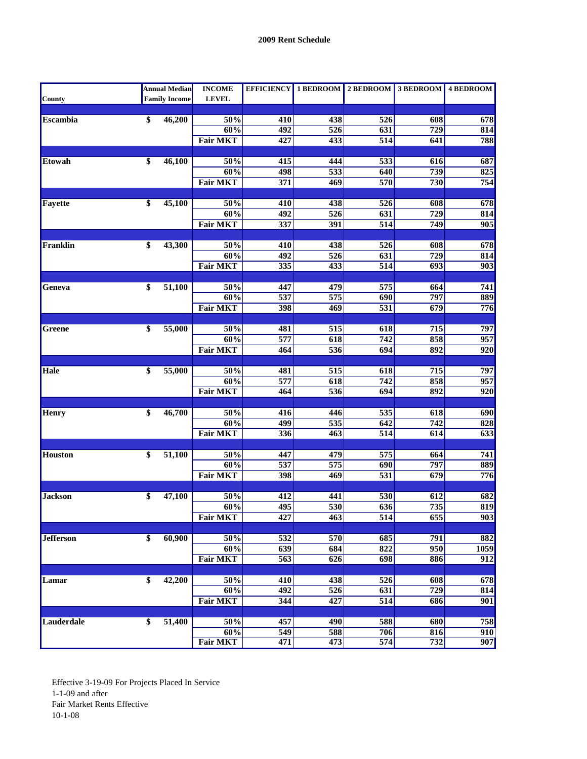|                  |                 | <b>Annual Median</b> | <b>INCOME</b>   |                  |                         | EFFICIENCY 1 BEDROOM 2 BEDROOM 3 BEDROOM 4 BEDROOM |                         |                  |
|------------------|-----------------|----------------------|-----------------|------------------|-------------------------|----------------------------------------------------|-------------------------|------------------|
| <b>County</b>    |                 | <b>Family Income</b> | <b>LEVEL</b>    |                  |                         |                                                    |                         |                  |
|                  |                 |                      |                 |                  |                         |                                                    |                         |                  |
| <b>Escambia</b>  | \$              | 46,200               | 50%             | 410              | 438                     | 526                                                | 608                     | 678              |
|                  |                 |                      | 60%             | 492              | $\overline{526}$        | 631                                                | $\overline{729}$        | 814              |
|                  |                 |                      | <b>Fair MKT</b> | 427              | 433                     | 514                                                | 641                     | 788              |
|                  |                 |                      |                 |                  |                         |                                                    |                         |                  |
| <b>Etowah</b>    | \$              | 46,100               | 50%             | $\overline{415}$ | 444                     | $\overline{533}$                                   | 616                     | 687              |
|                  |                 |                      | 60%             | 498              | $\overline{533}$        | 640                                                | 739                     | 825              |
|                  |                 |                      | <b>Fair MKT</b> | 371              | 469                     | 570                                                | 730                     | 754              |
|                  |                 |                      |                 |                  |                         |                                                    |                         |                  |
| Fayette          | \$              | 45,100               | 50%<br>60%      | 410<br>492       | 438<br>$\overline{526}$ | 526                                                | 608<br>$\overline{729}$ | 678              |
|                  |                 |                      |                 |                  |                         | 631                                                | 749                     | 814              |
|                  |                 |                      | <b>Fair MKT</b> | $\overline{337}$ | 391                     | $\overline{514}$                                   |                         | $\overline{905}$ |
| Franklin         | \$              | 43,300               | 50%             | 410              | 438                     | 526                                                | 608                     | 678              |
|                  |                 |                      | 60%             | 492              | $\overline{526}$        | 631                                                | $\overline{729}$        | 814              |
|                  |                 |                      | <b>Fair MKT</b> | $\overline{335}$ | $\overline{433}$        | $\overline{514}$                                   | $\overline{693}$        | 903              |
|                  |                 |                      |                 |                  |                         |                                                    |                         |                  |
| Geneva           | \$              | 51,100               | 50%             | 447              | 479                     | $\overline{575}$                                   | 664                     | 741              |
|                  |                 |                      | 60%             | 537              | 575                     | 690                                                | 797                     | 889              |
|                  |                 |                      | <b>Fair MKT</b> | 398              | 469                     | 531                                                | 679                     | 776              |
|                  |                 |                      |                 |                  |                         |                                                    |                         |                  |
| Greene           | $\overline{\$}$ | 55,000               | 50%             | 481              | 515                     | 618                                                | $\overline{715}$        | 797              |
|                  |                 |                      | 60%             | $\overline{577}$ | 618                     | $\overline{742}$                                   | 858                     | 957              |
|                  |                 |                      | <b>Fair MKT</b> | 464              | 536                     | 694                                                | 892                     | $\overline{920}$ |
|                  |                 |                      |                 |                  |                         |                                                    |                         |                  |
| Hale             | \$              | 55,000               | 50%             | 481              | 515                     | 618                                                | 715                     | 797              |
|                  |                 |                      | 60%             | 577              | 618                     | $\overline{742}$                                   | 858                     | 957              |
|                  |                 |                      | <b>Fair MKT</b> | 464              | 536                     | 694                                                | 892                     | $\overline{920}$ |
|                  |                 |                      |                 |                  |                         |                                                    |                         |                  |
| <b>Henry</b>     | $\overline{\$}$ | 46,700               | 50%             | 416              | 446                     | 535                                                | 618                     | 690              |
|                  |                 |                      | 60%             | 499              | $\overline{535}$        | 642                                                | $\overline{742}$        | 828              |
|                  |                 |                      | <b>Fair MKT</b> | $\overline{336}$ | 463                     | $\overline{514}$                                   | 614                     | $\overline{633}$ |
|                  |                 |                      |                 |                  |                         |                                                    |                         |                  |
| <b>Houston</b>   | \$              | 51,100               | 50%             | 447              | 479                     | 575                                                | 664                     | 741              |
|                  |                 |                      | 60%             | $\overline{537}$ | $\overline{575}$        | $\overline{690}$                                   | 797                     | 889              |
|                  |                 |                      | <b>Fair MKT</b> | 398              | 469                     | $\overline{531}$                                   | 679                     | $\overline{776}$ |
|                  |                 |                      |                 |                  |                         |                                                    |                         |                  |
| <b>Jackson</b>   | \$              | 47,100               | 50%             | 412              | 441                     | 530                                                | 612                     | 682              |
|                  |                 |                      | 60%             | 495              | 530                     | 636                                                | 735                     | 819              |
|                  |                 |                      | <b>Fair MKT</b> | 427              | 463                     | $\overline{514}$                                   | 655                     | 903              |
| <b>Jefferson</b> |                 | 60,900               | 50%             |                  |                         |                                                    |                         |                  |
|                  | \$              |                      | 60%             | 532<br>639       | 570<br>684              | 685<br>822                                         | 791<br>950              | 882<br>1059      |
|                  |                 |                      | <b>Fair MKT</b> | $\overline{563}$ | 626                     | 698                                                | 886                     | $\overline{912}$ |
|                  |                 |                      |                 |                  |                         |                                                    |                         |                  |
| Lamar            | \$              | 42,200               | 50%             | 410              | 438                     | $\overline{526}$                                   | 608                     | 678              |
|                  |                 |                      | 60%             | 492              | 526                     | 631                                                | 729                     | 814              |
|                  |                 |                      | <b>Fair MKT</b> | 344              | 427                     | 514                                                | 686                     | 901              |
|                  |                 |                      |                 |                  |                         |                                                    |                         |                  |
| Lauderdale       | \$              | 51,400               | 50%             | 457              | 490                     | 588                                                | 680                     | 758              |
|                  |                 |                      | 60%             | 549              | 588                     | 706                                                | 816                     | 910              |
|                  |                 |                      | <b>Fair MKT</b> | 471              | 473                     | 574                                                | 732                     | 907              |
|                  |                 |                      |                 |                  |                         |                                                    |                         |                  |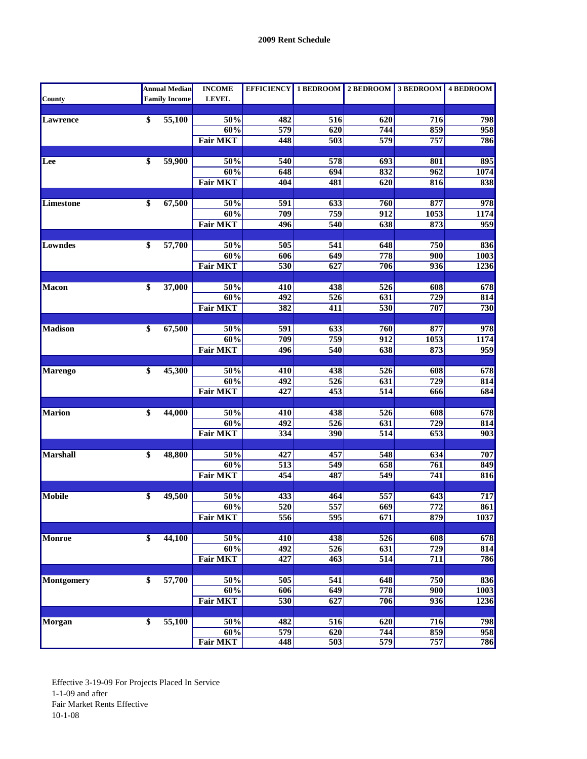|                 |                 | <b>Annual Median</b> | <b>INCOME</b>   |                  |                  | EFFICIENCY 1 BEDROOM 2 BEDROOM 3 BEDROOM 4 BEDROOM |                  |                  |
|-----------------|-----------------|----------------------|-----------------|------------------|------------------|----------------------------------------------------|------------------|------------------|
| <b>County</b>   |                 | <b>Family Income</b> | <b>LEVEL</b>    |                  |                  |                                                    |                  |                  |
|                 |                 |                      |                 |                  |                  |                                                    |                  |                  |
| <b>Lawrence</b> | \$              | 55,100               | 50%             | 482              | 516              | 620                                                | 716              | 798              |
|                 |                 |                      | 60%             | 579              | 620              | 744                                                | 859              | 958              |
|                 |                 |                      | <b>Fair MKT</b> | 448              | 503              | $\overline{579}$                                   | 757              | 786              |
|                 |                 |                      |                 |                  |                  |                                                    |                  |                  |
| Lee             | \$              | 59,900               | 50%             | 540              | 578              | $\overline{693}$                                   | 801              | 895              |
|                 |                 |                      | 60%             | 648              | 694              | 832                                                | 962              | 1074             |
|                 |                 |                      | <b>Fair MKT</b> | 404              | 481              | 620                                                | 816              | 838              |
|                 |                 |                      |                 |                  |                  |                                                    |                  |                  |
| Limestone       | \$              | 67,500               | 50%<br>60%      | 591<br>709       | 633<br>759       | 760<br>$\overline{912}$                            | 877              | 978<br>1174      |
|                 |                 |                      |                 |                  |                  |                                                    | 1053             |                  |
|                 |                 |                      | <b>Fair MKT</b> | 496              | 540              | $\overline{638}$                                   | 873              | 959              |
| Lowndes         | \$              | 57,700               | 50%             | 505              | 541              | 648                                                | 750              | 836              |
|                 |                 |                      | 60%             | $\overline{606}$ | 649              | 778                                                | 900              | 1003             |
|                 |                 |                      | <b>Fair MKT</b> | 530              | 627              | 706                                                | 936              | 1236             |
|                 |                 |                      |                 |                  |                  |                                                    |                  |                  |
| <b>Macon</b>    | \$              | 37,000               | 50%             | 410              | 438              | $\overline{526}$                                   | 608              | 678              |
|                 |                 |                      | 60%             | 492              | 526              | 631                                                | 729              | 814              |
|                 |                 |                      | <b>Fair MKT</b> | 382              | 411              | 530                                                | 707              | 730              |
|                 |                 |                      |                 |                  |                  |                                                    |                  |                  |
| <b>Madison</b>  | $\overline{\$}$ | 67,500               | 50%             | 591              | 633              | 760                                                | 877              | 978              |
|                 |                 |                      | 60%             | 709              | 759              | $\overline{912}$                                   | 1053             | <b>1174</b>      |
|                 |                 |                      | <b>Fair MKT</b> | 496              | 540              | 638                                                | 873              | 959              |
|                 |                 |                      |                 |                  |                  |                                                    |                  |                  |
| <b>Marengo</b>  | \$              | 45,300               | 50%             | 410              | 438              | 526                                                | 608              | 678              |
|                 |                 |                      | 60%             | 492              | $\overline{526}$ | 631                                                | $\overline{729}$ | 814              |
|                 |                 |                      | <b>Fair MKT</b> | $\overline{427}$ | 453              | $\overline{514}$                                   | 666              | 684              |
|                 |                 |                      |                 |                  |                  |                                                    |                  |                  |
| <b>Marion</b>   | $\overline{\$}$ | 44,000               | 50%             | 410              | 438              | 526                                                | 608              | 678              |
|                 |                 |                      | 60%             | 492              | 526              | 631                                                | $\overline{729}$ | 814              |
|                 |                 |                      | <b>Fair MKT</b> | $\frac{1}{334}$  | 390              | $\overline{514}$                                   | 653              | $\overline{903}$ |
|                 |                 |                      |                 |                  |                  |                                                    |                  |                  |
| Marshall        | \$              | 48,800               | 50%             | 427              | 457              | 548                                                | 634              | 707              |
|                 |                 |                      | 60%             | $\overline{513}$ | $\overline{549}$ | 658                                                | 761              | 849              |
|                 |                 |                      | <b>Fair MKT</b> | 454              | 487              | 549                                                | 741              | 816              |
|                 |                 |                      |                 |                  |                  |                                                    |                  |                  |
| <b>Mobile</b>   | \$              | 49,500               | 50%             | 433              | 464              | 557                                                | 643              | 717              |
|                 |                 |                      | 60%             | 520              | 557              | $\overline{669}$                                   | $\overline{772}$ | 861              |
|                 |                 |                      | <b>Fair MKT</b> | 556              | 595              | 671                                                | 879              | 1037             |
|                 |                 |                      |                 |                  |                  |                                                    |                  |                  |
| Monroe          | \$              | 44,100               | 50%             | 410              | 438              | 526                                                | 608              | 678              |
|                 |                 |                      | 60%             | 492              | $\overline{526}$ | 631                                                | 729              | 814              |
|                 |                 |                      | <b>Fair MKT</b> | 427              | 463              | 514                                                | $\overline{711}$ | 786              |
| Montgomery      | \$              | 57,700               | 50%             | $\overline{505}$ | $\overline{541}$ | 648                                                | 750              | 836              |
|                 |                 |                      | 60%             | 606              | 649              | 778                                                | 900              | 1003             |
|                 |                 |                      | <b>Fair MKT</b> | 530              | 627              | 706                                                | 936              | 1236             |
|                 |                 |                      |                 |                  |                  |                                                    |                  |                  |
| Morgan          | \$              | 55,100               | 50%             | 482              | $\overline{516}$ | 620                                                | $\overline{716}$ | 798              |
|                 |                 |                      | 60%             | 579              | $\overline{620}$ | 744                                                | 859              | 958              |
|                 |                 |                      | <b>Fair MKT</b> | 448              | 503              | 579                                                | 757              | 786              |
|                 |                 |                      |                 |                  |                  |                                                    |                  |                  |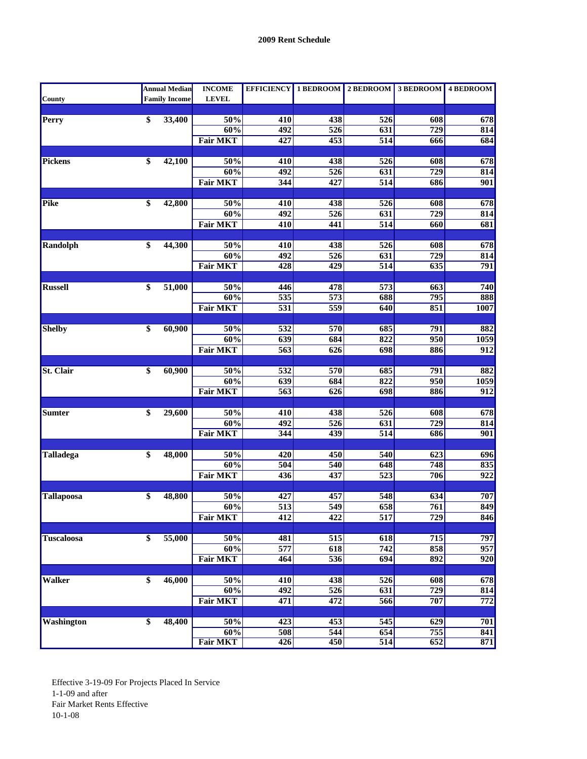|                   | <b>Annual Median</b> | <b>INCOME</b>   |                  |                         | EFFICIENCY 1 BEDROOM 2 BEDROOM 3 BEDROOM 4 BEDROOM |                  |                         |
|-------------------|----------------------|-----------------|------------------|-------------------------|----------------------------------------------------|------------------|-------------------------|
| <b>County</b>     | <b>Family Income</b> | <b>LEVEL</b>    |                  |                         |                                                    |                  |                         |
|                   |                      |                 |                  |                         |                                                    |                  |                         |
| <b>Perry</b>      | \$<br>33,400         | 50%             | 410              | 438                     | 526                                                | 608              | 678                     |
|                   |                      | 60%             | 492              | $\overline{526}$        | 631                                                | $\overline{729}$ | 814                     |
|                   |                      | <b>Fair MKT</b> | 427              | 453                     | 514                                                | 666              | 684                     |
|                   |                      |                 |                  |                         |                                                    |                  |                         |
| Pickens           | \$<br>42,100         | 50%             | 410              | 438                     | $\overline{526}$                                   | 608              | 678                     |
|                   |                      | 60%             | 492              | $\overline{526}$        | 631                                                | $\overline{729}$ | 814                     |
|                   |                      | <b>Fair MKT</b> | 344              | 427                     | $\overline{514}$                                   | 686              | 901                     |
| <b>Pike</b>       | 42,800               | 50%             |                  |                         |                                                    | 608              |                         |
|                   | \$                   | 60%             | 410<br>492       | 438<br>$\overline{526}$ | 526<br>631                                         | $\overline{729}$ | 678<br>814              |
|                   |                      | <b>Fair MKT</b> | $\overline{410}$ | 441                     | 514                                                | 660              | 681                     |
|                   |                      |                 |                  |                         |                                                    |                  |                         |
| <b>Randolph</b>   | \$<br>44,300         | 50%             | 410              | 438                     | 526                                                | 608              | 678                     |
|                   |                      | 60%             | $\overline{492}$ | $\overline{526}$        | 631                                                | $\overline{729}$ | 814                     |
|                   |                      | <b>Fair MKT</b> | 428              | $\overline{429}$        | 514                                                | 635              | 791                     |
|                   |                      |                 |                  |                         |                                                    |                  |                         |
| <b>Russell</b>    | \$<br>51,000         | 50%             | 446              | 478                     | $\overline{573}$                                   | 663              | 740                     |
|                   |                      | 60%             | 535              | 573                     | 688                                                | 795              | 888                     |
|                   |                      | <b>Fair MKT</b> | $\overline{531}$ | 559                     | 640                                                | 851              | 1007                    |
|                   |                      |                 |                  |                         |                                                    |                  |                         |
| <b>Shelby</b>     | \$<br>60,900         | 50%             | $\overline{532}$ | 570                     | 685                                                | 791              | 882                     |
|                   |                      | 60%             | 639              | 684                     | $\overline{822}$                                   | 950              | 1059                    |
|                   |                      | <b>Fair MKT</b> | $\overline{563}$ | 626                     | 698                                                | 886              | $\overline{912}$        |
|                   |                      |                 |                  |                         |                                                    |                  |                         |
| <b>St. Clair</b>  | \$<br>60,900         | 50%             | 532              | 570                     | 685                                                | 791              | 882                     |
|                   |                      | 60%             | $\overline{639}$ | 684                     | 822                                                | $\overline{950}$ | 1059                    |
|                   |                      | <b>Fair MKT</b> | $\overline{563}$ | 626                     | 698                                                | 886              | $\overline{912}$        |
|                   |                      |                 |                  |                         |                                                    |                  |                         |
| <b>Sumter</b>     | \$<br>29,600         | 50%             | 410              | 438                     | 526                                                | 608              | 678                     |
|                   |                      | 60%             | $\overline{492}$ | $\overline{526}$        | 631                                                | $\overline{729}$ | 814                     |
|                   |                      | <b>Fair MKT</b> | 344              | 439                     | $\overline{514}$                                   | 686              | 901                     |
|                   |                      |                 |                  |                         |                                                    |                  |                         |
| <b>Talladega</b>  | \$<br>48,000         | 50%<br>60%      | 420              | 450<br>540              | 540<br>648                                         | 623<br>748       | 696                     |
|                   |                      | <b>Fair MKT</b> | 504<br>436       | 437                     | $\overline{523}$                                   | 706              | 835<br>$\overline{922}$ |
|                   |                      |                 |                  |                         |                                                    |                  |                         |
| <b>Tallapoosa</b> | \$<br>48,800         | 50%             | 427              | 457                     | 548                                                | 634              | 707                     |
|                   |                      | 60%             | $\overline{513}$ | $\overline{549}$        | 658                                                | 761              | 849                     |
|                   |                      | <b>Fair MKT</b> | $\overline{412}$ | 422                     | 517                                                | 729              | 846                     |
|                   |                      |                 |                  |                         |                                                    |                  |                         |
| <b>Tuscaloosa</b> | \$<br>55,000         | 50%             | 481              | 515                     | 618                                                | 715              | 797                     |
|                   |                      | 60%             | 577              | 618                     | $\overline{742}$                                   | 858              | 957                     |
|                   |                      | <b>Fair MKT</b> | 464              | 536                     | 694                                                | 892              | $\overline{920}$        |
|                   |                      |                 |                  |                         |                                                    |                  |                         |
| <b>Walker</b>     | \$<br>46,000         | 50%             | 410              | 438                     | $\overline{526}$                                   | 608              | 678                     |
|                   |                      | 60%             | 492              | 526                     | 631                                                | $\overline{729}$ | 814                     |
|                   |                      | <b>Fair MKT</b> | 471              | 472                     | 566                                                | 707              | 772                     |
|                   |                      |                 |                  |                         |                                                    |                  |                         |
| <b>Washington</b> | \$<br>48,400         | 50%             | 423              | 453                     | 545                                                | 629              | 701                     |
|                   |                      | 60%             | 508              | 544                     | 654                                                | 755              | 841                     |
|                   |                      | <b>Fair MKT</b> | 426              | 450                     | 514                                                | 652              | 871                     |